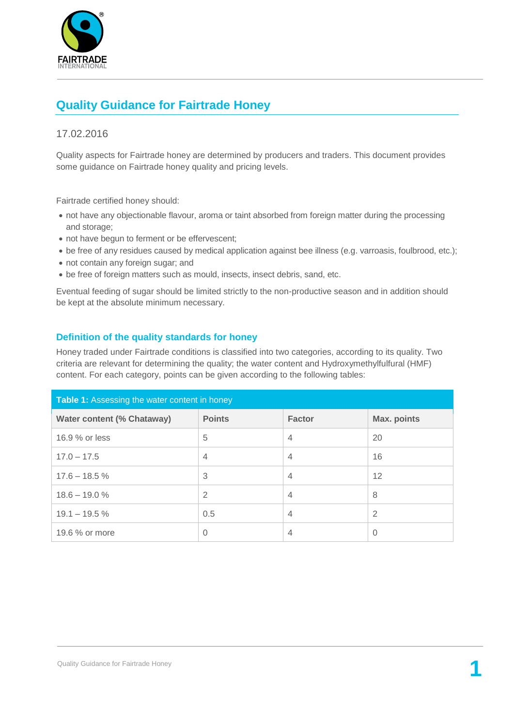

## **Quality Guidance for Fairtrade Honey**

## 17.02.2016

Quality aspects for Fairtrade honey are determined by producers and traders. This document provides some guidance on Fairtrade honey quality and pricing levels.

Fairtrade certified honey should:

- not have any objectionable flavour, aroma or taint absorbed from foreign matter during the processing and storage;
- not have begun to ferment or be effervescent;
- be free of any residues caused by medical application against bee illness (e.g. varroasis, foulbrood, etc.);
- not contain any foreign sugar; and
- be free of foreign matters such as mould, insects, insect debris, sand, etc.

Eventual feeding of sugar should be limited strictly to the non-productive season and in addition should be kept at the absolute minimum necessary.

## **Definition of the quality standards for honey**

Honey traded under Fairtrade conditions is classified into two categories, according to its quality. Two criteria are relevant for determining the quality; the water content and Hydroxymethylfulfural (HMF) content. For each category, points can be given according to the following tables:

| Table 1: Assessing the water content in honey |                |                |             |  |
|-----------------------------------------------|----------------|----------------|-------------|--|
| <b>Water content (% Chataway)</b>             | <b>Points</b>  | <b>Factor</b>  | Max. points |  |
| 16.9 % or less                                | 5              | $\overline{4}$ | 20          |  |
| $17.0 - 17.5$                                 | $\overline{4}$ | $\overline{4}$ | 16          |  |
| $17.6 - 18.5%$                                | 3              | $\overline{4}$ | 12          |  |
| $18.6 - 19.0 \%$                              | 2              | $\overline{4}$ | 8           |  |
| $19.1 - 19.5 \%$                              | 0.5            | $\overline{4}$ | 2           |  |
| 19.6 % or more                                | $\Omega$       | $\overline{4}$ | $\Omega$    |  |